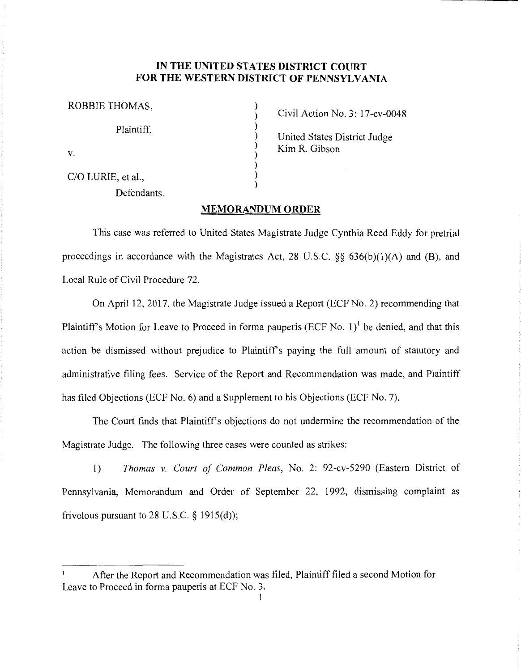## **IN THE UNITED STATES DISTRICT COURT FOR THE WESTERN DISTRICT OF PENNSYLVANIA**

) ) ) ) ) ) ) )

| ROBBIE THOMAS,     |  |
|--------------------|--|
| Plaintiff,         |  |
| V.                 |  |
| C/O LURIE, et al., |  |

Defendants.

Civil Action No. 3: l 7-cv-0048

United States District Judge Kim R. Gibson

## **MEMORANDUM ORDER**

This case was referred to United States Magistrate Judge Cynthia Reed Eddy for pretrial proceedings in accordance with the Magistrates Act, 28 U.S.C.  $\S$ § 636(b)(1)(A) and (B), and Local Rule of Civil Procedure 72.

On April 12, 2017, the Magistrate Judge issued a Report (ECF No. 2) recommending that Plaintiff's Motion for Leave to Proceed in forma pauperis (ECF No. 1)<sup>1</sup> be denied, and that this action be dismissed without prejudice to Plaintiff's paying the full amount of statutory and administrative filing fees. Service of the Report and Recommendation was made, and Plaintiff has filed Objections (ECF No. 6) and a Supplement to his Objections (ECF No. 7).

The Court finds that Plaintiff's objections do not undermine the recommendation of the Magistrate Judge. The following three cases were counted as strikes:

1) *Thomas v. Court of Common Pleas,* No. 2: 92-cv-5290 (Eastern District of Pennsylvania, Memorandum and Order of September 22, 1992, dismissing complaint as frivolous pursuant to 28 U.S.C.  $\S$  1915(d));

After the Report and Recommendation was filed, Plaintiff filed a second Motion for Leave to Proceed in forma pauperis at ECF No. 3.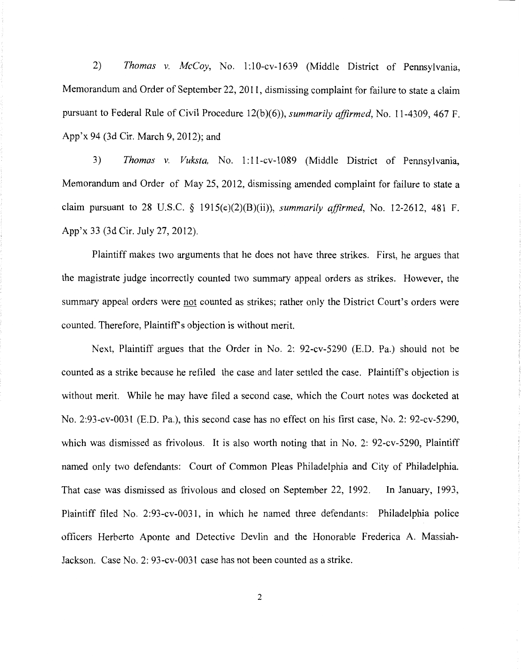2) *Thomas v. McCoy,* No. 1:10-cv-1639 (Middle District of Pennsylvania, Memorandum and Order of September 22, 2011, dismissing complaint for failure to state a claim pursuant to Federal Rule of Civil Procedure 12(b )(6)), *summarily affirmed,* No. 11-4309, 467 F. App'x 94 (3d Cir. March 9, 2012); and

3) *Thomas v. Vuksta*, No. 1:11-cv-1089 (Middle District of Pennsylvania, Memorandum and Order of May 25, 2012, dismissing amended complaint for failure to state a claim pursuant to 28 U.S.C. § 1915(e)(2)(B)(ii)), *summarily affirmed,* No. 12-2612, 481 F. App'x 33 (3d Cir. July 27, 2012).

Plaintiff makes two arguments that he does not have three strikes. First, he argues that the magistrate judge incorrectly counted two summary appeal orders as strikes. However, the summary appeal orders were not counted as strikes; rather only the District Court's orders were counted. Therefore, Plaintiff's objection is without merit.

Next, Plaintiff argues that the Order in No. 2: 92-cv-5290 (E.D. Pa.) should not be counted as a strike because he refiled the case and later settled the case. Plaintiff's objection is without merit. While he may have filed a second case, which the Court notes was docketed at No. 2:93-cv-0031 (E.D. Pa.), this second case has no effect on his first case, No. 2: 92-cv-5290, which was dismissed as frivolous. It is also worth noting that in No. 2: 92-cv-5290, Plaintiff named only two defendants: Court of Common Pleas Philadelphia and City of Philadelphia. That case was dismissed as frivolous and closed on September 22, 1992. In January, 1993, Plaintiff filed No. 2:93-cv-0031, in which he named three defendants: Philadelphia police officers Herberto Aponte and Detective Devlin and the Honorable Frederica A. Massiah-Jackson. Case No. 2: 93-cv-0031 case has not been counted as a strike.